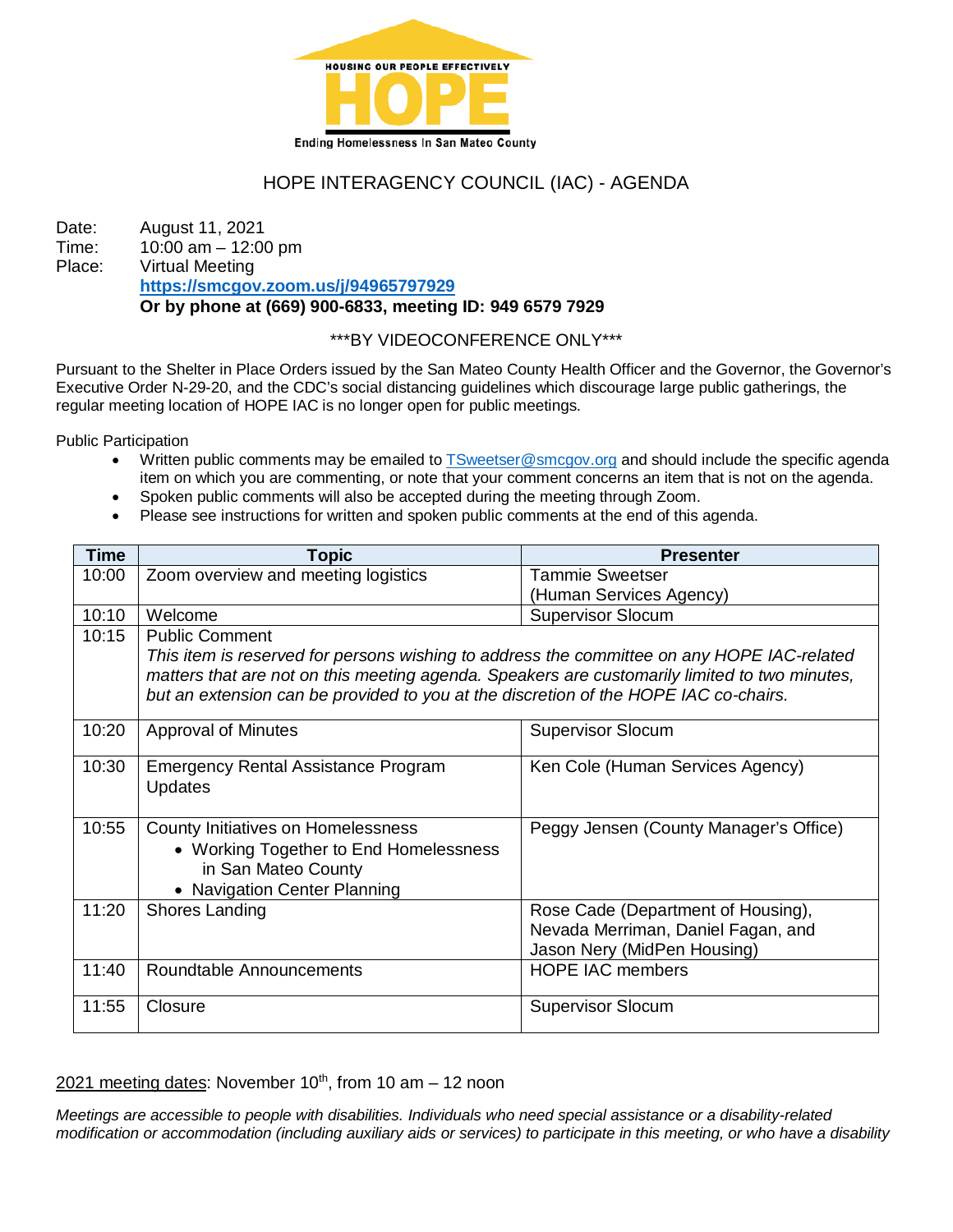

# HOPE INTERAGENCY COUNCIL (IAC) - AGENDA

Date: August 11, 2021 Time: 10:00 am – 12:00 pm Place: Virtual Meeting **<https://smcgov.zoom.us/j/94965797929> Or by phone at (669) 900-6833, meeting ID: 949 6579 7929**

## \*\*\*BY VIDEOCONFERENCE ONLY\*\*\*

Pursuant to the Shelter in Place Orders issued by the San Mateo County Health Officer and the Governor, the Governor's Executive Order N-29-20, and the CDC's social distancing guidelines which discourage large public gatherings, the regular meeting location of HOPE IAC is no longer open for public meetings.

Public Participation

- Written public comments may be emailed to TSweetser @smcgov.org and should include the specific agenda item on which you are commenting, or note that your comment concerns an item that is not on the agenda.
- Spoken public comments will also be accepted during the meeting through Zoom.
- Please see instructions for written and spoken public comments at the end of this agenda.

| <b>Time</b> | <b>Topic</b>                                                                                  | <b>Presenter</b>                       |
|-------------|-----------------------------------------------------------------------------------------------|----------------------------------------|
| 10:00       | Zoom overview and meeting logistics                                                           | <b>Tammie Sweetser</b>                 |
|             |                                                                                               | (Human Services Agency)                |
| 10:10       | Welcome                                                                                       | <b>Supervisor Slocum</b>               |
| 10:15       | <b>Public Comment</b>                                                                         |                                        |
|             | This item is reserved for persons wishing to address the committee on any HOPE IAC-related    |                                        |
|             | matters that are not on this meeting agenda. Speakers are customarily limited to two minutes, |                                        |
|             | but an extension can be provided to you at the discretion of the HOPE IAC co-chairs.          |                                        |
| 10:20       | <b>Approval of Minutes</b>                                                                    | <b>Supervisor Slocum</b>               |
|             |                                                                                               |                                        |
| 10:30       | <b>Emergency Rental Assistance Program</b>                                                    | Ken Cole (Human Services Agency)       |
|             | <b>Updates</b>                                                                                |                                        |
|             |                                                                                               |                                        |
| 10:55       | County Initiatives on Homelessness                                                            | Peggy Jensen (County Manager's Office) |
|             | • Working Together to End Homelessness                                                        |                                        |
|             | in San Mateo County                                                                           |                                        |
|             | • Navigation Center Planning                                                                  |                                        |
| 11:20       | Shores Landing                                                                                | Rose Cade (Department of Housing),     |
|             |                                                                                               | Nevada Merriman, Daniel Fagan, and     |
|             |                                                                                               | Jason Nery (MidPen Housing)            |
| 11:40       | Roundtable Announcements                                                                      | <b>HOPE IAC members</b>                |
|             |                                                                                               |                                        |
| 11:55       | Closure                                                                                       | <b>Supervisor Slocum</b>               |
|             |                                                                                               |                                        |

2021 meeting dates: November  $10^{th}$ , from 10 am  $-$  12 noon

*Meetings are accessible to people with disabilities. Individuals who need special assistance or a disability-related modification or accommodation (including auxiliary aids or services) to participate in this meeting, or who have a disability*